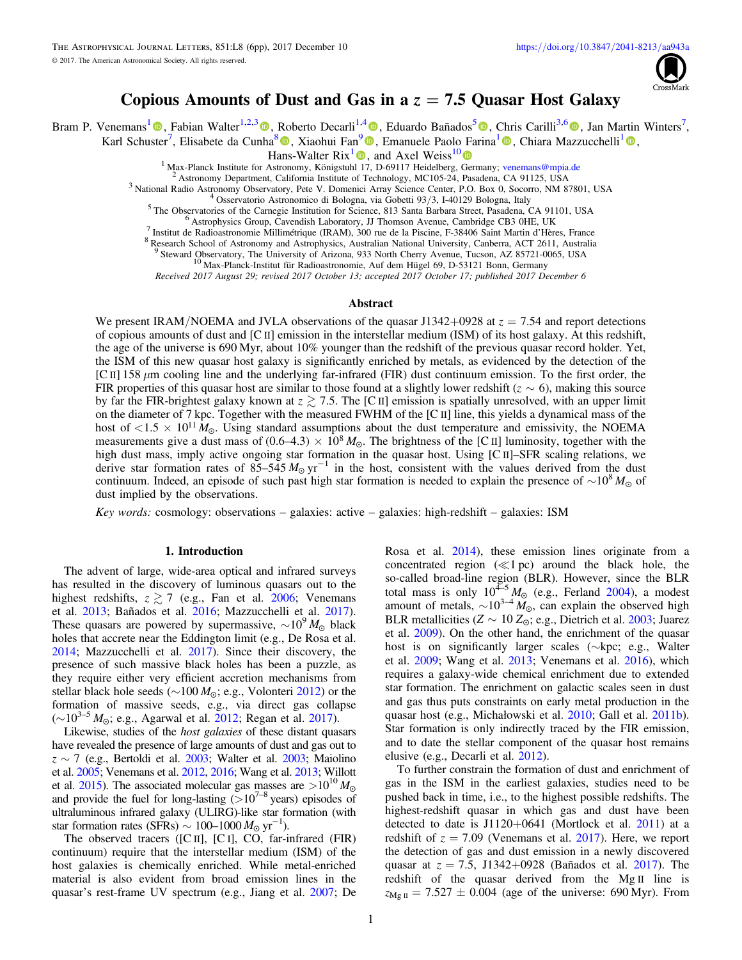

# Copious Amounts of Dust and Gas in a  $z = 7.5$  Quasar Host Galaxy

Bram P. Venemans<sup>[1](https://orcid.org/0000-0001-9024-8322)</sup><sup>®</sup>, Fabian Walter<sup>1,2,[3](https://orcid.org/0000-0003-4793-7880)</sup><sup>®</sup>, Roberto Decarli<sup>1,[4](https://orcid.org/0000-0002-2662-8803)</sup><sup>®</sup>, Eduardo Bañados<sup>[5](https://orcid.org/0000-0002-2931-7824)</sup>®[,](https://orcid.org/0000-0001-6647-3861) Chris Carilli<sup>3,[6](https://orcid.org/0000-0001-6647-3861)</sup>®, Jan Martin Winters<sup>7</sup>,

Karl Schuster<sup>7</sup>, Elisabete da Cunha<sup>[8](https://orcid.org/0000-0001-9759-4797)</sup> (**D**[,](https://orcid.org/0000-0002-5941-5214) Xiaohui Fan<sup>9</sup> (**D**, Emanuele Paolo Farina<sup>[1](https://orcid.org/0000-0002-5941-5214)</sup> (**D**, Chiara Mazzucchelli<sup>1</sup> (**D**,

**Hans-Walter Rix<sup>[1](https://orcid.org/0000-0003-4996-9069)</sup> [,](https://orcid.org/0000-0003-4996-9069) and Axel Weiss<sup>1[0](https://orcid.org/0000-0003-4678-3939)</sup>**  $\bullet$ **<br><sup>1</sup> Max-Planck Institute for Astronomy, Königstuhl 17, D-69117 Heidelberg, Germany; venemans@mpia.de** 

<sup>2</sup> Astronomy Department, Ca[l](https://orcid.org/0000-0003-4996-9069)ifornia Institute of Technology, MC105-24, Pasadena, CA 91125, USA<br><sup>3</sup> National Radio Astronomy Observatory, Pete V. Domenici Array Science Center, P.O. Box 0, Socorro, NM 87801, USA<br><sup>4</sup> Osser

<sup>9</sup> Steward Observatory, The University of Arizona, 933 North Cherry Avenue, Tucson, AZ 85721-0065, USA <sup>10</sup> Max-Planck-Institut für Radioastronomie, Auf dem Hügel 69, D-53121 Bonn, Germany

Received 2017 August 29; revised 2017 October 13; accepted 2017 October 17; published 2017 December 6

# Abstract

We present IRAM/NOEMA and JVLA observations of the quasar J1342+0928 at  $z = 7.54$  and report detections of copious amounts of dust and [C II] emission in the interstellar medium (ISM) of its host galaxy. At this redshift, the age of the universe is 690 Myr, about 10% younger than the redshift of the previous quasar record holder. Yet, the ISM of this new quasar host galaxy is significantly enriched by metals, as evidenced by the detection of the [C II] 158  $\mu$ m cooling line and the underlying far-infrared (FIR) dust continuum emission. To the first order, the FIR properties of this quasar host are similar to those found at a slightly lower redshift ( $z \sim 6$ ), making this source by far the FIR-brightest galaxy known at  $z \gtrsim 7.5$ . The [C II] emission is spatially unresolved, with an upper limit on the diameter of 7 kpc. Together with the measured FWHM of the [C II] line, this yields a dynamical mass of the host of  $\langle 1.5 \times 10^{11} M_{\odot}$ . Using standard assumptions about the dust temperature and emissivity, the NOEMA measurements give a dust mass of  $(0.6-4.3) \times 10^8 M_{\odot}$ . The brightness of the [C II] luminosity, together with the high dust mass, imply active ongoing star formation in the quasar host. Using [C II]–SFR scaling relations, we derive star formation rates of 85–545 *M*<sub>☉</sub> yr<sup>-1</sup> in the host, consistent with the values derived from the dust continuum. Indeed, an episode of such past high star formation is needed to explain the presence of  $\sim 10^8 M_{\odot}$  of dust implied by the observations.

Key words: cosmology: observations – galaxies: active – galaxies: high-redshift – galaxies: ISM

# 1. Introduction

The advent of large, wide-area optical and infrared surveys has resulted in the discovery of luminous quasars out to the highest redshifts,  $z \gtrsim 7$  (e.g., Fan et al. [2006;](#page-5-0) Venemans et al. [2013](#page-5-0); Bañados et al. [2016;](#page-5-0) Mazzucchelli et al. [2017](#page-5-0)). These quasars are powered by supermassive,  $\sim 10^{9} M_{\odot}$  black holes that accrete near the Eddington limit (e.g., De Rosa et al. [2014;](#page-5-0) Mazzucchelli et al. [2017](#page-5-0)). Since their discovery, the presence of such massive black holes has been a puzzle, as they require either very efficient accretion mechanisms from stellar black hole seeds (∼100 *M*<sub>☉</sub>; e.g., Volonteri [2012](#page-5-0)) or the formation of massive seeds, e.g., via direct gas collapse (∼10<sup>3–5</sup> *M*<sub>☉</sub>; e.g., Agarwal et al. [2012](#page-5-0); Regan et al. [2017](#page-5-0)).

Likewise, studies of the host galaxies of these distant quasars have revealed the presence of large amounts of dust and gas out to  $z \sim 7$  (e.g., Bertoldi et al. [2003](#page-5-0); Walter et al. 2003; Maiolino et al. [2005](#page-5-0); Venemans et al. [2012](#page-5-0), [2016;](#page-5-0) Wang et al. [2013;](#page-5-0) Willott et al. [2015](#page-5-0)). The associated molecular gas masses are  $>10^{10} M_{\odot}$ and provide the fuel for long-lasting  $(>10^{7-8}$  years) episodes of ultraluminous infrared galaxy (ULIRG)-like star formation (with star formation rates (SFRs)  $\sim 100-1000 M_{\odot} \text{ yr}^{-1}$ ).

The observed tracers ([C II], [C I], CO, far-infrared (FIR) continuum) require that the interstellar medium (ISM) of the host galaxies is chemically enriched. While metal-enriched material is also evident from broad emission lines in the quasar's rest-frame UV spectrum (e.g., Jiang et al. [2007;](#page-5-0) De Rosa et al. [2014](#page-5-0)), these emission lines originate from a concentrated region  $(\ll 1 pc)$  around the black hole, the so-called broad-line region (BLR). However, since the BLR total mass is only  $10^{4-5} M_{\odot}$  (e.g., Ferland [2004](#page-5-0)), a modest amount of metals,  $\sim 10^{3-4} M_{\odot}$ , can explain the observed high BLR metallicities ( $Z \sim 10 Z_{\odot}$ ; e.g., Dietrich et al. [2003;](#page-5-0) Juarez et al. [2009](#page-5-0)). On the other hand, the enrichment of the quasar host is on significantly larger scales (∼kpc; e.g., Walter et al. [2009;](#page-5-0) Wang et al. [2013;](#page-5-0) Venemans et al. [2016](#page-5-0)), which requires a galaxy-wide chemical enrichment due to extended star formation. The enrichment on galactic scales seen in dust and gas thus puts constraints on early metal production in the quasar host (e.g., Michałowski et al. [2010;](#page-5-0) Gall et al. [2011b](#page-5-0)). Star formation is only indirectly traced by the FIR emission, and to date the stellar component of the quasar host remains elusive (e.g., Decarli et al. [2012](#page-5-0)).

To further constrain the formation of dust and enrichment of gas in the ISM in the earliest galaxies, studies need to be pushed back in time, i.e., to the highest possible redshifts. The highest-redshift quasar in which gas and dust have been detected to date is  $J1120+0641$  (Mortlock et al. [2011](#page-5-0)) at a redshift of  $z = 7.09$  (Venemans et al. [2017](#page-5-0)). Here, we report the detection of gas and dust emission in a newly discovered quasar at  $z = 7.5$ , J1342+0928 (Bañados et al. [2017](#page-5-0)). The redshift of the quasar derived from the Mg II line is  $z_{\text{Mg II}} = 7.527 \pm 0.004$  (age of the universe: 690 Myr). From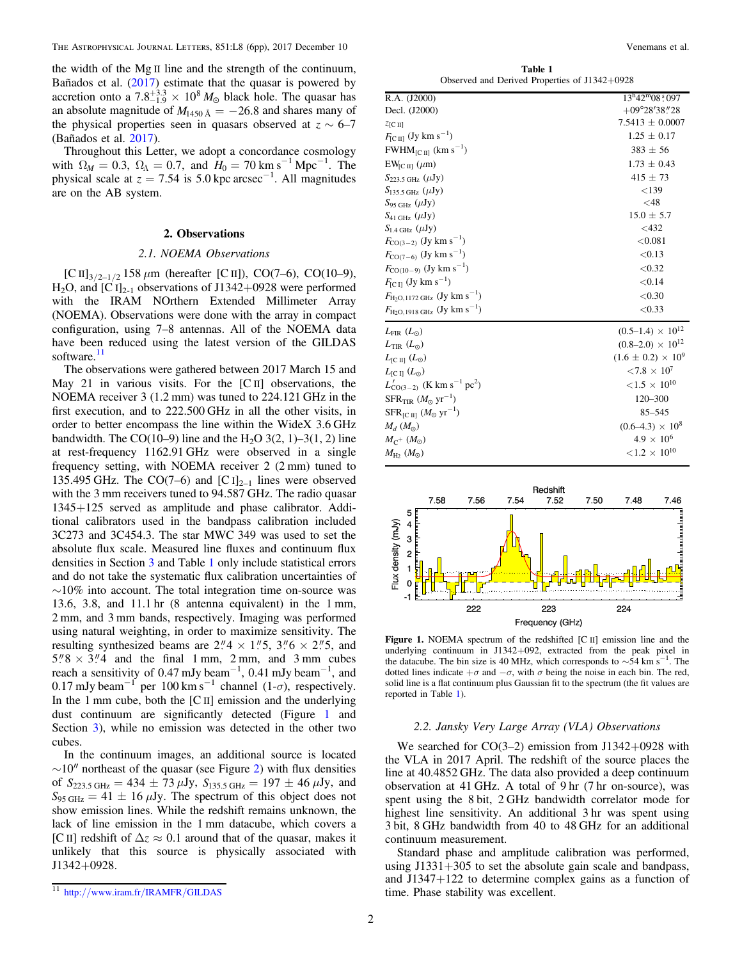<span id="page-1-0"></span>the width of the Mg II line and the strength of the continuum, Bañados et al. ([2017](#page-5-0)) estimate that the quasar is powered by accretion onto a  $7.8^{+3.3}_{-1.9} \times 10^8 M_{\odot}$  black hole. The quasar has an absolute magnitude of  $M_{1450 \text{ Å}} = -26.8$  and shares many of the physical properties seen in quasars observed at  $z \sim 6-7$ (Bañados et al. [2017](#page-5-0)).

Throughout this Letter, we adopt a concordance cosmology with  $\Omega_M = 0.3$ ,  $\Omega_{\Lambda} = 0.7$ , and  $H_0 = 70$  km s<sup>-1</sup> Mpc<sup>-1</sup>. The physical scale at  $z = 7.54$  is 5.0 kpc arcsec<sup>-1</sup>. All magnitudes are on the AB system.

# 2. Observations

# 2.1. NOEMA Observations

[C II] $_{3/2-1/2}$  158  $\mu$ m (hereafter [C II]), CO(7–6), CO(10–9),  $H<sub>2</sub>O$ , and [C I]<sub>2-1</sub> observations of J1342+0928 were performed with the IRAM NOrthern Extended Millimeter Array (NOEMA). Observations were done with the array in compact configuration, using 7–8 antennas. All of the NOEMA data have been reduced using the latest version of the GILDAS software.<sup>11</sup>

The observations were gathered between 2017 March 15 and May 21 in various visits. For the [C<sub>II</sub>] observations, the NOEMA receiver 3 (1.2 mm) was tuned to 224.121 GHz in the first execution, and to 222.500 GHz in all the other visits, in order to better encompass the line within the WideX 3.6 GHz bandwidth. The CO(10–9) line and the H<sub>2</sub>O 3(2, 1)–3(1, 2) line at rest-frequency 1162.91 GHz were observed in a single frequency setting, with NOEMA receiver 2 (2 mm) tuned to 135.495 GHz. The CO(7–6) and  $[C_1]_{2-1}$  lines were observed with the 3 mm receivers tuned to 94.587 GHz. The radio quasar 1345+125 served as amplitude and phase calibrator. Additional calibrators used in the bandpass calibration included 3C273 and 3C454.3. The star MWC 349 was used to set the absolute flux scale. Measured line fluxes and continuum flux densities in Section [3](#page-2-0) and Table 1 only include statistical errors and do not take the systematic flux calibration uncertainties of  $\sim$ 10% into account. The total integration time on-source was 13.6, 3.8, and 11.1 hr (8 antenna equivalent) in the 1 mm, 2 mm, and 3 mm bands, respectively. Imaging was performed using natural weighting, in order to maximize sensitivity. The resulting synthesized beams are  $2''/4 \times 1''/5$ ,  $3''/6 \times 2''/5$ , and  $5\degree 8 \times 3\degree 4$  and the final 1 mm, 2 mm, and 3 mm cubes reach a sensitivity of 0.47 mJy beam<sup>-1</sup>, 0.41 mJy beam<sup>-1</sup>, and 0.17 mJy beam<sup>-1</sup> per 100 km s<sup>-1</sup> channel (1- $\sigma$ ), respectively. In the 1 mm cube, both the [C II] emission and the underlying dust continuum are significantly detected (Figure 1 and Section [3](#page-2-0)), while no emission was detected in the other two cubes.

In the continuum images, an additional source is located  $\sim$ 10″ northeast of the quasar (see Figure [2](#page-2-0)) with flux densities of  $S_{223.5 \text{ GHz}} = 434 \pm 73 \,\mu\text{Jy}$ ,  $S_{135.5 \text{ GHz}} = 197 \pm 46 \,\mu\text{Jy}$ , and  $S_{95 \text{ GHz}} = 41 \pm 16 \mu \text{Jy}$ . The spectrum of this object does not show emission lines. While the redshift remains unknown, the lack of line emission in the 1 mm datacube, which covers a [C II] redshift of  $\Delta z \approx 0.1$  around that of the quasar, makes it unlikely that this source is physically associated with J1342+0928.

Table 1 Observed and Derived Properties of J1342+0928

| R.A. (J2000)                                                       | $13^{\rm h}42^{\rm m}08\degree 097$ |
|--------------------------------------------------------------------|-------------------------------------|
| Decl. (J2000)                                                      | $+09^{\circ}28'38''28$              |
| Z[C II]                                                            | $7.5413 \pm 0.0007$                 |
| $F_{\rm [C\,II]}$ (Jy km s <sup>-1</sup> )                         | $1.25 \pm 0.17$                     |
| $FWHM_{[C\,II]}$ (km s <sup>-1</sup> )                             | $383 \pm 56$                        |
| $EW_{IC\,III}(\mu m)$                                              | $1.73 \pm 0.43$                     |
| $S_{223.5 \text{ GHz}} (\mu \text{Jy})$                            | $415 \pm 73$                        |
| $S_{135.5 \text{ GHz}} (\mu \text{Jy})$                            | < 139                               |
| $S_{95 \text{ GHz}} (\mu \text{Jy})$                               | $<$ 48                              |
| $S_{41 \text{ GHz}} (\mu \text{Jy})$                               | $15.0 \pm 5.7$                      |
| $S_{1.4 \text{ GHz}} (\mu \text{Jy})$                              | $<$ 432                             |
| $F_{\text{CO}(3-2)}$ (Jy km s <sup>-1</sup> )                      | < 0.081                             |
| $F_{\text{CO}(7-6)}$ (Jy km s <sup>-1</sup> )                      | < 0.13                              |
| $F_{\text{CO}(10-9)}$ (Jy km s <sup>-1</sup> )                     | < 0.32                              |
| $F_{\rm [C\,I]}$ (Jy km s <sup>-1</sup> )                          | < 0.14                              |
| $F_{\text{H}_2\text{O},1172 \text{ GHz}}$ (Jy km s <sup>-1</sup> ) | < 0.30                              |
| $F_{\text{H}_2\text{O},1918 \text{ GHz}}$ (Jy km s <sup>-1</sup> ) | < 0.33                              |
| $L_{\rm FIR}$ $(L_{\odot})$                                        | $(0.5-1.4) \times 10^{12}$          |
| $L_{\text{TIR}}(L_{\odot})$                                        | $(0.8-2.0) \times 10^{12}$          |
| $L_{\text{[C II]}} (L_{\odot})$                                    | $(1.6 \pm 0.2) \times 10^9$         |
| $L_{\text{IC II}} (L_{\odot})$                                     | ${<}7.8 \times 10^7$                |
| $L'_{\text{CO}(3-2)}$ (K km s <sup>-1</sup> pc <sup>2</sup> )      | ${<}1.5 \times 10^{10}$             |
| $SFR$ <sub>TIR</sub> $(M_{\odot} \text{ yr}^{-1})$                 | $120 - 300$                         |
| $SFR_{[C\,II]} (M_{\odot} \, yr^{-1})$                             | 85-545                              |
| $M_d$ $(M_{\odot})$                                                | $(0.6-4.3) \times 10^8$             |
| $M_{C^+}(M_{\odot})$                                               | $4.9 \times 10^{6}$                 |
| $M_{\rm H2}~(M_{\odot})$                                           | ${<}1.2 \times 10^{10}$             |



Figure 1. NOEMA spectrum of the redshifted [C II] emission line and the underlying continuum in J1342+092, extracted from the peak pixel in the datacube. The bin size is 40 MHz, which corresponds to  $\sim$ 54 km s<sup>−1</sup>. The dotted lines indicate  $+\sigma$  and  $-\sigma$ , with  $\sigma$  being the noise in each bin. The red, solid line is a flat continuum plus Gaussian fit to the spectrum (the fit values are reported in Table 1).

# 2.2. Jansky Very Large Array (VLA) Observations

We searched for  $CO(3-2)$  emission from J1342+0928 with the VLA in 2017 April. The redshift of the source places the line at 40.4852 GHz. The data also provided a deep continuum observation at 41 GHz. A total of 9 hr (7 hr on-source), was spent using the 8 bit, 2 GHz bandwidth correlator mode for highest line sensitivity. An additional 3 hr was spent using 3 bit, 8 GHz bandwidth from 40 to 48 GHz for an additional continuum measurement.

Standard phase and amplitude calibration was performed, using  $J1331+305$  to set the absolute gain scale and bandpass, and J1347+122 to determine complex gains as a function of time. Phase stability was excellent.

<sup>11</sup> http://[www.iram.fr](http://www.iram.fr/IRAMFR/GILDAS)/IRAMFR/GILDAS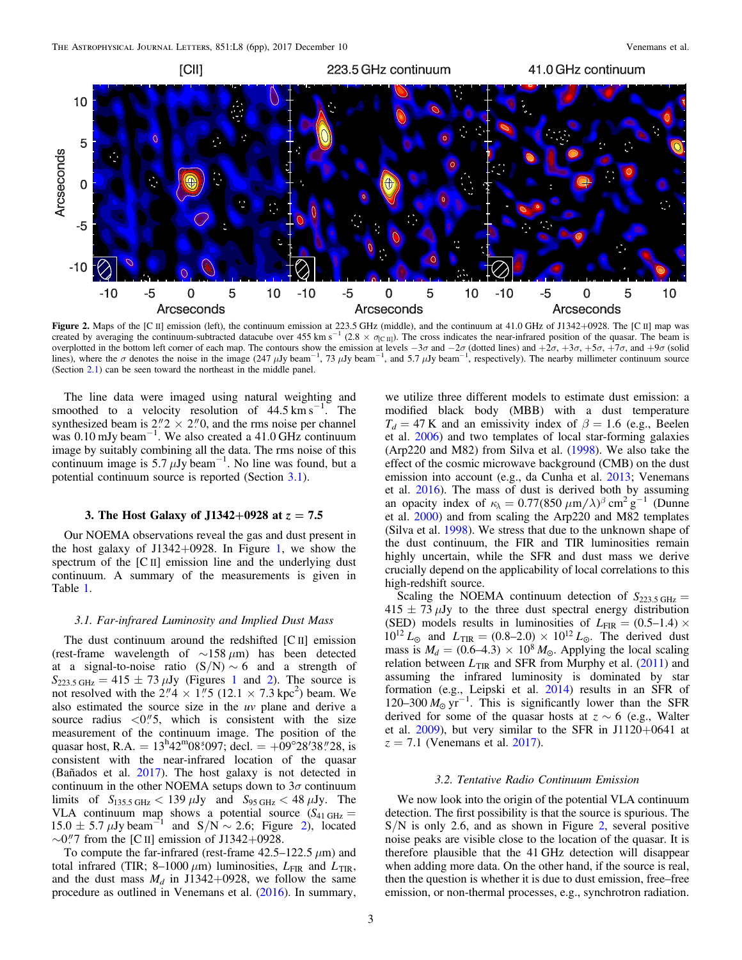<span id="page-2-0"></span>

Figure 2. Maps of the [C II] emission (left), the continuum emission at 223.5 GHz (middle), and the continuum at 41.0 GHz of J1342+0928. The [C II] map was created by averaging the continuum-subtracted datacube over  $455 \text{ km s}^{-1}$  (2.8  $\times \sigma_{\text{[CII]}}$ ). The cross indicates the near-infrared position of the quasar. The beam is overplotted in the bottom left corner of each map. The contours show the emission at levels  $-3\sigma$  and  $-2\sigma$  (dotted lines) and  $+2\sigma$ ,  $+3\sigma$ ,  $+5\sigma$ ,  $+7\sigma$ , and  $+9\sigma$  (solid lines), where the  $\sigma$  denotes the noise in the image (247  $\mu$ Jy beam<sup>-1</sup>, 73  $\mu$ Jy beam<sup>-1</sup>, and 5.7  $\mu$ Jy beam<sup>-1</sup>, respectively). The nearby millimeter continuum source (Section [2.1](#page-1-0)) can be seen toward the northeast in the middle panel.

The line data were imaged using natural weighting and smoothed to a velocity resolution of  $44.5 \text{ km s}^{-1}$ . The synthesized beam is  $2\degree 2 \times 2\degree 0$ , and the rms noise per channel was 0.10 mJy beam−<sup>1</sup> . We also created a 41.0 GHz continuum image by suitably combining all the data. The rms noise of this continuum image is 5.7  $\mu$ Jy beam<sup>-1</sup>. No line was found, but a potential continuum source is reported (Section 3.1).

# 3. The Host Galaxy of J1342+0928 at  $z = 7.5$

Our NOEMA observations reveal the gas and dust present in the host galaxy of  $J1342+0928$ . In Figure [1,](#page-1-0) we show the spectrum of the [C II] emission line and the underlying dust continuum. A summary of the measurements is given in Table [1.](#page-1-0)

# 3.1. Far-infrared Luminosity and Implied Dust Mass

The dust continuum around the redshifted [C II] emission (rest-frame wavelength of  $\sim$ 158 μm) has been detected at a signal-to-noise ratio  $(S/N) \sim 6$  and a strength of  $S_{223.5 \text{ GHz}} = 415 \pm 73 \,\mu\text{Jy}$  $S_{223.5 \text{ GHz}} = 415 \pm 73 \,\mu\text{Jy}$  $S_{223.5 \text{ GHz}} = 415 \pm 73 \,\mu\text{Jy}$  (Figures 1 and 2). The source is not resolved with the  $2.\overline{4} \times \overline{1}$ . (12.1 × 7.3 kpc<sup>2</sup>) beam. We also estimated the source size in the uv plane and derive a source radius  $\langle 0.0 \rangle$  5, which is consistent with the size measurement of the continuum image. The position of the quasar host, R.A. =  $13^{\text{h}}42^{\text{m}}08^{\text{t}}097$ ; decl. =  $+09^{\circ}28'38''28$ , is consistent with the near-infrared location of the quasar (Bañados et al. [2017](#page-5-0)). The host galaxy is not detected in continuum in the other NOEMA setups down to  $3\sigma$  continuum limits of  $S_{135.5 \text{ GHz}} < 139 \mu \text{Jy}$  and  $S_{95 \text{ GHz}} < 48 \mu \text{Jy}$ . The VLA continuum map shows a potential source  $(S_{41 \text{ GHz}} =$  $15.0 \pm 5.7 \,\mu\text{Jy beam}^{-1}$  and  $S/N \sim 2.6$ ; Figure 2), located  $\sim$ 0."7 from the [C II] emission of J1342+0928.

To compute the far-infrared (rest-frame  $42.5-122.5 \mu m$ ) and total infrared (TIR;  $8-1000 \mu m$ ) luminosities,  $L_{FIR}$  and  $L_{TIR}$ , and the dust mass  $M_d$  in J1342+0928, we follow the same procedure as outlined in Venemans et al. ([2016](#page-5-0)). In summary,

we utilize three different models to estimate dust emission: a modified black body (MBB) with a dust temperature  $T_d = 47$  K and an emissivity index of  $\beta = 1.6$  (e.g., Beelen et al. [2006](#page-5-0)) and two templates of local star-forming galaxies (Arp220 and M82) from Silva et al. ([1998](#page-5-0)). We also take the effect of the cosmic microwave background (CMB) on the dust emission into account (e.g., da Cunha et al. [2013;](#page-5-0) Venemans et al. [2016](#page-5-0)). The mass of dust is derived both by assuming an opacity index of  $\kappa_{\lambda} = 0.77 (850 \ \mu \text{m}/\lambda)^{\beta} \text{ cm}^2 \text{ g}^{-1}$  (Dunne et al. [2000](#page-5-0)) and from scaling the Arp220 and M82 templates (Silva et al. [1998](#page-5-0)). We stress that due to the unknown shape of the dust continuum, the FIR and TIR luminosities remain highly uncertain, while the SFR and dust mass we derive crucially depend on the applicability of local correlations to this high-redshift source.

Scaling the NOEMA continuum detection of  $S_{223.5 \text{ GHz}} =$  $415 \pm 73 \,\mu$ Jy to the three dust spectral energy distribution (SED) models results in luminosities of  $L_{\text{FIR}} = (0.5{\text -}1.4) \times$  $10^{12} L_{\odot}$  and  $L_{\text{TIR}} = (0.8{\text -}2.0) \times 10^{12} L_{\odot}$ . The derived dust mass is  $M_d = (0.6 - 4.3) \times 10^8 M_{\odot}$ . Applying the local scaling relation between  $L_{\text{TIR}}$  and SFR from Murphy et al. ([2011](#page-5-0)) and assuming the infrared luminosity is dominated by star formation (e.g., Leipski et al. [2014](#page-5-0)) results in an SFR of 120–300  $M_{\odot}$  yr<sup>-1</sup>. This is significantly lower than the SFR derived for some of the quasar hosts at  $z \sim 6$  (e.g., Walter et al.  $2009$ ), but very similar to the SFR in J1120+0641 at  $z = 7.1$  (Venemans et al. [2017](#page-5-0)).

#### 3.2. Tentative Radio Continuum Emission

We now look into the origin of the potential VLA continuum detection. The first possibility is that the source is spurious. The S/N is only 2.6, and as shown in Figure 2, several positive noise peaks are visible close to the location of the quasar. It is therefore plausible that the 41 GHz detection will disappear when adding more data. On the other hand, if the source is real, then the question is whether it is due to dust emission, free–free emission, or non-thermal processes, e.g., synchrotron radiation.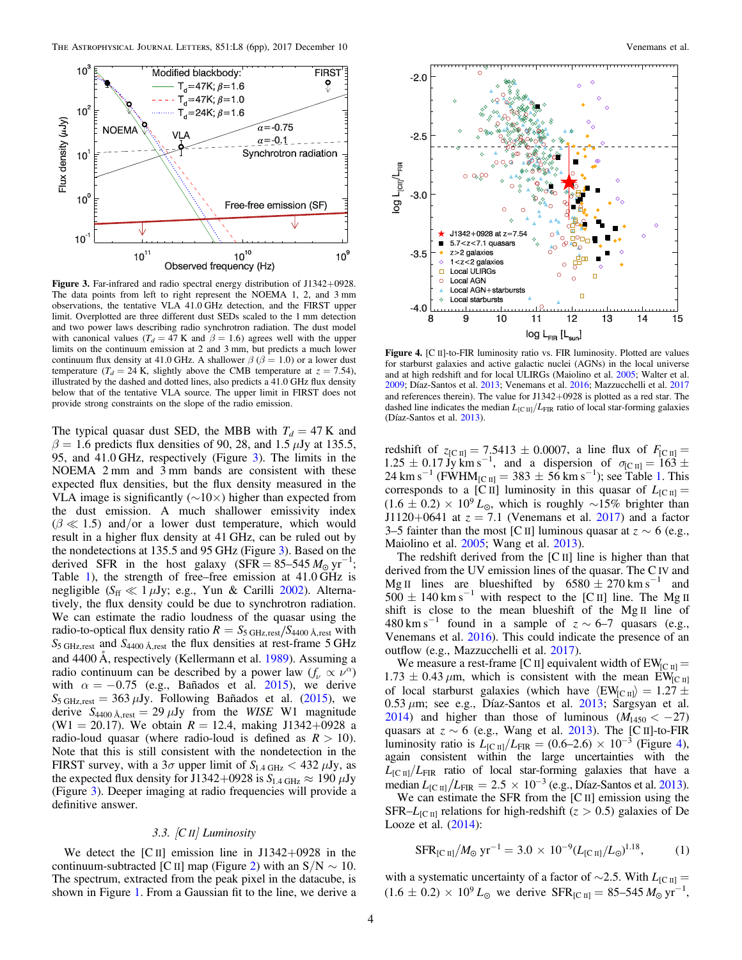<span id="page-3-0"></span>

Figure 3. Far-infrared and radio spectral energy distribution of J1342+0928. The data points from left to right represent the NOEMA 1, 2, and 3 mm observations, the tentative VLA 41.0 GHz detection, and the FIRST upper limit. Overplotted are three different dust SEDs scaled to the 1 mm detection and two power laws describing radio synchrotron radiation. The dust model with canonical values ( $T_d = 47$  K and  $\beta = 1.6$ ) agrees well with the upper limits on the continuum emission at 2 and 3 mm, but predicts a much lower continuum flux density at 41.0 GHz. A shallower  $\beta$  ( $\beta$  = 1.0) or a lower dust temperature ( $T_d = 24$  K, slightly above the CMB temperature at  $z = 7.54$ ), illustrated by the dashed and dotted lines, also predicts a 41.0 GHz flux density below that of the tentative VLA source. The upper limit in FIRST does not provide strong constraints on the slope of the radio emission.

The typical quasar dust SED, the MBB with  $T_d = 47$  K and  $\beta = 1.6$  predicts flux densities of 90, 28, and 1.5  $\mu$ Jy at 135.5, 95, and 41.0 GHz, respectively (Figure 3). The limits in the NOEMA 2 mm and 3 mm bands are consistent with these expected flux densities, but the flux density measured in the VLA image is significantly ( $\sim$ 10×) higher than expected from the dust emission. A much shallower emissivity index  $(\beta \ll 1.5)$  and/or a lower dust temperature, which would result in a higher flux density at 41 GHz, can be ruled out by the nondetections at 135.5 and 95 GHz (Figure 3). Based on the derived SFR in the host galaxy ( $\overrightarrow{SFR} = 85-545 M_{\odot} \text{ yr}^{-1}$ ; Table [1](#page-1-0)), the strength of free–free emission at 41.0 GHz is negligible  $(S_{\text{ff}} \ll 1 \,\mu\text{Jy}; \text{e.g., Yun & Carilli } 2002)$  $(S_{\text{ff}} \ll 1 \,\mu\text{Jy}; \text{e.g., Yun & Carilli } 2002)$  $(S_{\text{ff}} \ll 1 \,\mu\text{Jy}; \text{e.g., Yun & Carilli } 2002)$ . Alternatively, the flux density could be due to synchrotron radiation. We can estimate the radio loudness of the quasar using the radio-to-optical flux density ratio  $R = S_{\rm 5\,GHz, rest}/S_{\rm 4400\,\AA, rest}$  with  $S_{\rm 5\,GHz, rest}$  and  $S_{\rm 4400\,\AA, rest}$  the flux densities at rest-frame 5 GHz and 4400 Å, respectively (Kellermann et al. [1989](#page-5-0)). Assuming a radio continuum can be described by a power law  $(f_\nu \propto \nu^\alpha)$ with  $\alpha = -0.75$  (e.g., Bañados et al. [2015](#page-5-0)), we derive  $S_{\text{5 GHz,rest}} = 363 \,\mu\text{Jy}$ . Following Bañados et al. ([2015](#page-5-0)), we derive  $S_{4400 \text{ Å},\text{rest}} = 29 \,\mu\text{Jy}$  from the *WISE* W1 magnitude (W1 = 20.17). We obtain  $R = 12.4$ , making J1342+0928 a radio-loud quasar (where radio-loud is defined as  $R > 10$ ). Note that this is still consistent with the nondetection in the FIRST survey, with a  $3\sigma$  upper limit of  $S_{1.4 \text{ GHz}} < 432 \mu\text{Jy}$ , as the expected flux density for J1342+0928 is  $S_{1.4 \text{ GHz}} \approx 190 \mu \text{Jy}$ (Figure 3). Deeper imaging at radio frequencies will provide a definitive answer.

# 3.3. [C II] Luminosity

We detect the  $\lbrack$ C II] emission line in J1342+0928 in the continuum-subtracted [C II] map (Figure [2](#page-2-0)) with an  $S/N \sim 10$ . The spectrum, extracted from the peak pixel in the datacube, is shown in Figure [1.](#page-1-0) From a Gaussian fit to the line, we derive a



Figure 4. [C II]-to-FIR luminosity ratio vs. FIR luminosity. Plotted are values for starburst galaxies and active galactic nuclei (AGNs) in the local universe and at high redshift and for local ULIRGs (Maiolino et al. [2005;](#page-5-0) Walter et al. [2009;](#page-5-0) Díaz-Santos et al. [2013;](#page-5-0) Venemans et al. [2016](#page-5-0); Mazzucchelli et al. [2017](#page-5-0) and references therein). The value for J1342+0928 is plotted as a red star. The dashed line indicates the median  $L_{\text{[C II]}}/L_{\text{FIR}}$  ratio of local star-forming galaxies (Díaz-Santos et al. [2013](#page-5-0)).

redshift of  $z_{\text{[C\,\textsc{ii}]}} = 7.5413 \pm 0.0007$ , a line flux of  $F_{\text{[C\,\textsc{ii}]}} =$  $1.25 \pm 0.17 \text{ Jy km s}^{-1}$ , and a dispersion of  $\sigma_{\text{[C II]}} = 163 \pm 1.25 \pm 0.17 \text{ Jy km s}^{-1}$ . 24 km s<sup>-[1](#page-1-0)</sup> (FWHM<sub>[C II</sub>] = 383  $\pm$  56 km s<sup>-1</sup>); see Table 1. This corresponds to a [C II] luminosity in this quasar of  $L_{\text{[C II]}} =$  $(1.6 \pm 0.2) \times 10^9 L_{\odot}$ , which is roughly ∼15% brighter than J1120+0641 at  $z = 7.1$  (Venemans et al. [2017](#page-5-0)) and a factor 3–5 fainter than the most [C II] luminous quasar at  $z \sim 6$  (e.g., Maiolino et al. [2005;](#page-5-0) Wang et al. [2013](#page-5-0)).

The redshift derived from the [C II] line is higher than that derived from the UV emission lines of the quasar. The C IV and Mg II lines are blueshifted by  $6580 \pm 270$  km s<sup>-1</sup> and  $500 \pm 140$  km s<sup>-1</sup> with respect to the [C II] line. The Mg II shift is close to the mean blueshift of the Mg II line of 480 km s<sup>-1</sup> found in a sample of  $z \sim 6-7$  quasars (e.g., Venemans et al. [2016](#page-5-0)). This could indicate the presence of an outflow (e.g., Mazzucchelli et al. [2017](#page-5-0)).

We measure a rest-frame [C II] equivalent width of  $EW_{\rm [C\,II]} =$  $1.73 \pm 0.43 \,\mu$ m, which is consistent with the mean EW<sub>[C II</sub>] of local starburst galaxies (which have  $\langle EW_{\rm [C\ II]} \rangle = 1.27 \pm$  $0.53 \mu m$ ; see e.g., Díaz-Santos et al.  $2013$ ; Sargsyan et al. [2014](#page-5-0)) and higher than those of luminous  $(M_{1450} < -27)$ quasars at  $z \sim 6$  (e.g., Wang et al. [2013](#page-5-0)). The [C II]-to-FIR luminosity ratio is  $L_{\text{[C II]}}/L_{\text{FIR}} = (0.6{\text -}2.6) \times 10^{-3}$  (Figure 4), again consistent within the large uncertainties with the  $L_{\rm [C\ II]}/L_{\rm FIR}$  ratio of local star-forming galaxies that have a median  $L_{\text{[C II]}}/L_{\text{FIR}} = 2.5 \times 10^{-3}$  (e.g., Díaz-Santos et al. [2013](#page-5-0)).

We can estimate the SFR from the [C II] emission using the SFR– $L_{\text{[C II]}}$  relations for high-redshift ( $z > 0.5$ ) galaxies of De Looze et al.  $(2014)$  $(2014)$  $(2014)$ :

$$
SFR_{\text{[C II]}}/M_{\odot} \text{ yr}^{-1} = 3.0 \times 10^{-9} (L_{\text{[C II]}}/L_{\odot})^{1.18},\tag{1}
$$

with a systematic uncertainty of a factor of ~2.5. With  $L_{\text{[C II]}} =$  $(1.6 \pm 0.2) \times 10^9 L_{\odot}$  we derive SFR<sub>[C II</sub>] = 85–545  $M_{\odot}$  yr<sup>-1</sup>,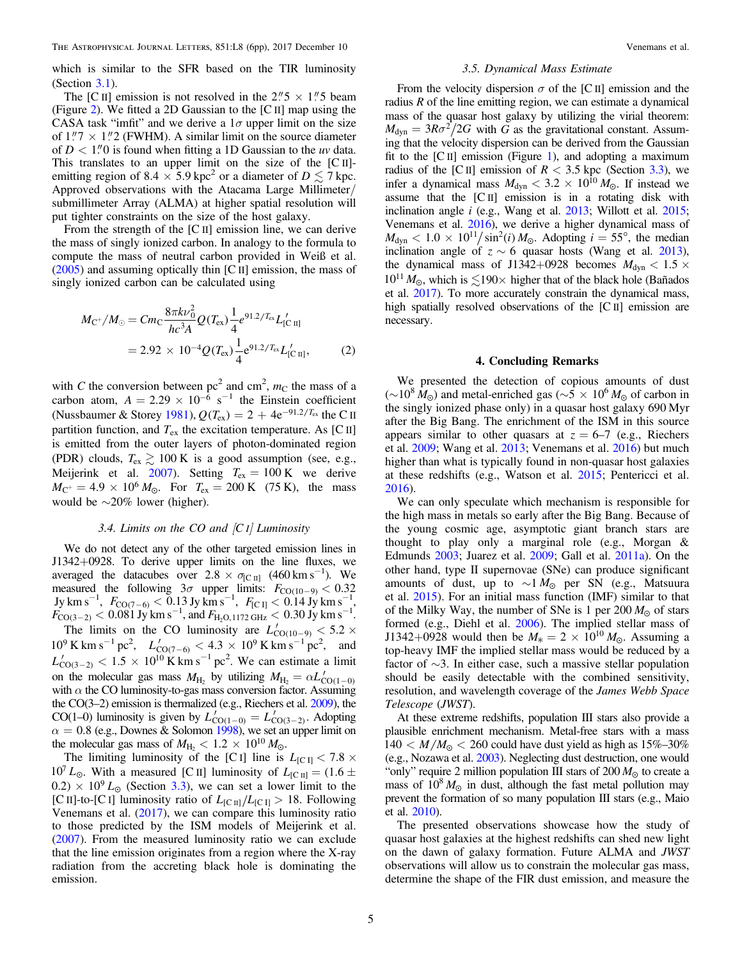which is similar to the SFR based on the TIR luminosity (Section [3.1](#page-2-0)).

The [C II] emission is not resolved in the  $2\rlap.{''}5 \times 1\rlap.{''}5$  beam (Figure [2](#page-2-0)). We fitted a 2D Gaussian to the [C II] map using the CASA task "imfit" and we derive a  $1\sigma$  upper limit on the size of  $1\degree 7 \times 1\degree 2$  (FWHM). A similar limit on the source diameter of  $D < 1$ ." O is found when fitting a 1D Gaussian to the uv data. This translates to an upper limit on the size of the [C II] emitting region of 8.4  $\times$  5.9 kpc<sup>2</sup> or a diameter of D  $\lesssim$  7 kpc. Approved observations with the Atacama Large Millimeter/ submillimeter Array (ALMA) at higher spatial resolution will put tighter constraints on the size of the host galaxy.

From the strength of the [C II] emission line, we can derive the mass of singly ionized carbon. In analogy to the formula to compute the mass of neutral carbon provided in Weiß et al. ([2005](#page-5-0)) and assuming optically thin [C II] emission, the mass of singly ionized carbon can be calculated using

$$
M_{\rm C^{+}}/M_{\odot} = Cm_{\rm C} \frac{8\pi k\nu_{0}^{2}}{hc^{3}A} Q(T_{\rm ex}) \frac{1}{4} e^{91.2/T_{\rm ex}} L'_{\rm [C\ II]}
$$
  
= 2.92 × 10<sup>-4</sup>Q(T\_{\rm ex}) \frac{1}{4} e^{91.2/T\_{\rm ex}} L'\_{\rm [C\ II]}, (2)

with C the conversion between  $pc<sup>2</sup>$  and  $cm<sup>2</sup>$ ,  $m<sub>C</sub>$  the mass of a carbon atom,  $A = 2.29 \times 10^{-6} \text{ s}^{-1}$  the Einstein coefficient (Nussbaumer & Storey [1981](#page-5-0)),  $Q(T_{ex}) = 2 + 4e^{-91.2/T_{ex}}$  the C II partition function, and  $T_{ex}$  the excitation temperature. As [C II] is emitted from the outer layers of photon-dominated region (PDR) clouds,  $T_{ex} \gtrsim 100 \text{ K}$  is a good assumption (see, e.g., Meijerink et al. [2007](#page-5-0)). Setting  $T_{ex} = 100 \text{ K}$  we derive  $M_{\rm C}$ <sup>+</sup> = 4.9 × 10<sup>6</sup>  $M_{\odot}$ . For  $T_{\rm ex}$  = 200 K (75 K), the mass would be ∼20% lower (higher).

# 3.4. Limits on the CO and  $|CI|$  Luminosity

We do not detect any of the other targeted emission lines in J1342+0928. To derive upper limits on the line fluxes, we averaged the datacubes over  $2.8 \times \sigma_{\text{[C II]}}$  (460 km s<sup>-1</sup>). We measured the following  $3\sigma$  upper limits:  $F_{\text{CO}(10-9)} < 0.32$  $Jy \text{ km s}^{-1}$ ,  $F_{\text{CO}(7-6)} < 0.13 \text{ Jy km s}^{-1}$ ,  $F_{\text{[C I]}} < 0.14 \text{ Jy km s}^{-1}$ ,  $F_{\text{CO}(3-2)} < 0.081 \text{ Jy km s}^{-1}$ , and  $F_{\text{H}_2\text{O},1172 \text{ GHz}} < 0.30 \text{ Jy km s}^{-1}$ .

The limits on the CO luminosity are  $L'_{\text{CO}(10-9)} < 5.2 \times$  $10^9$  K km s<sup>-1</sup> pc<sup>2</sup>,  $L'_{\text{CO(7-6)}} < 4.3 \times 10^9$  K km s<sup>-1</sup> pc<sup>2</sup>, and  $L'_{\text{CO}(3-2)} < 1.5 \times 10^{10} \,\text{K} \,\text{km s}^{-1} \,\text{pc}^2$ . We can estimate a limit on the molecular gas mass  $M_{\text{H}_2}$  by utilizing  $M_{\text{H}_2} = \alpha L'_{\text{CO}(1-0)}$ with  $\alpha$  the CO luminosity-to-gas mass conversion factor. Assuming the CO(3–2) emission is thermalized (e.g., Riechers et al. [2009](#page-5-0)), the CO(1–0) luminosity is given by  $L'_{\text{CO}(1-0)} = L'_{\text{CO}(3-2)}$ . Adopting  $\alpha = 0.8$  (e.g., Downes & Solomon [1998](#page-5-0)), we set an upper limit on the molecular gas mass of  $M_{\rm H} < 1.2 \times 10^{10} M_{\odot}$ .

The limiting luminosity of the [C<sub>I</sub>] line is  $L_{\text{[C I]}} < 7.8 \times$  $10<sup>7</sup> L<sub>°</sub>$ . With a measured [C II] luminosity of  $L_{\text{[C II]}} = (1.6 \pm 1)$  $(0.2) \times 10^9 L_{\odot}$  (Section [3.3](#page-3-0)), we can set a lower limit to the [C II]-to-[C I] luminosity ratio of  $L_{\text{[C II]}}/L_{\text{[C II]}}>18$ . Following Venemans et al. ([2017](#page-5-0)), we can compare this luminosity ratio to those predicted by the ISM models of Meijerink et al. ([2007](#page-5-0)). From the measured luminosity ratio we can exclude that the line emission originates from a region where the X-ray radiation from the accreting black hole is dominating the emission.

#### 3.5. Dynamical Mass Estimate

From the velocity dispersion  $\sigma$  of the [C II] emission and the radius R of the line emitting region, we can estimate a dynamical mass of the quasar host galaxy by utilizing the virial theorem:  $M_{\text{dyn}} = 3R\sigma^2/2G$  with G as the gravitational constant. Assuming that the velocity dispersion can be derived from the Gaussian fit to the  $\lbrack \text{C II} \rbrack$  emission (Figure [1](#page-1-0)), and adopting a maximum radius of the [C II] emission of  $R < 3.5$  kpc (Section [3.3](#page-3-0)), we infer a dynamical mass  $M_{\text{dyn}} < 3.2 \times 10^{10} M_{\odot}$ . If instead we assume that the [C II] emission is in a rotating disk with inclination angle i (e.g., Wang et al. [2013](#page-5-0); Willott et al. [2015](#page-5-0); Venemans et al. [2016](#page-5-0)), we derive a higher dynamical mass of  $M_{\text{dyn}} < 1.0 \times 10^{11} / \sin^2(i) M_{\odot}$ . Adopting  $i = 55^{\circ}$ , the median inclination angle of  $z \sim 6$  quasar hosts (Wang et al. [2013](#page-5-0)), the dynamical mass of J1342+0928 becomes  $M_{\text{dyn}} < 1.5 \times$  $10^{11} M_{\odot}$ , which is  $\lesssim 190 \times$  higher that of the black hole (Bañados et al. [2017](#page-5-0)). To more accurately constrain the dynamical mass, high spatially resolved observations of the [C II] emission are necessary.

#### 4. Concluding Remarks

We presented the detection of copious amounts of dust (∼10<sup>8</sup>  $\bar{M}_{\odot}$ ) and metal-enriched gas (∼5 × 10<sup>6</sup>  $M_{\odot}$  of carbon in the singly ionized phase only) in a quasar host galaxy 690 Myr after the Big Bang. The enrichment of the ISM in this source appears similar to other quasars at  $z = 6-7$  (e.g., Riechers et al. [2009;](#page-5-0) Wang et al. [2013;](#page-5-0) Venemans et al. [2016](#page-5-0)) but much higher than what is typically found in non-quasar host galaxies at these redshifts (e.g., Watson et al. [2015](#page-5-0); Pentericci et al. [2016](#page-5-0)).

We can only speculate which mechanism is responsible for the high mass in metals so early after the Big Bang. Because of the young cosmic age, asymptotic giant branch stars are thought to play only a marginal role (e.g., Morgan & Edmunds [2003;](#page-5-0) Juarez et al. [2009](#page-5-0); Gall et al. [2011a](#page-5-0)). On the other hand, type II supernovae (SNe) can produce significant amounts of dust, up to  $\sim 1 M_{\odot}$  per SN (e.g., Matsuura et al. [2015](#page-5-0)). For an initial mass function (IMF) similar to that of the Milky Way, the number of SNe is 1 per  $200 M_{\odot}$  of stars formed (e.g., Diehl et al. [2006](#page-5-0)). The implied stellar mass of  $J1342+0928$  would then be  $M_* = 2 \times 10^{10} M_{\odot}$ . Assuming a top-heavy IMF the implied stellar mass would be reduced by a factor of ∼3. In either case, such a massive stellar population should be easily detectable with the combined sensitivity, resolution, and wavelength coverage of the James Webb Space Telescope (JWST).

At these extreme redshifts, population III stars also provide a plausible enrichment mechanism. Metal-free stars with a mass  $140 < M/M_{\odot} < 260$  could have dust yield as high as  $15\% - 30\%$ (e.g., Nozawa et al. [2003](#page-5-0)). Neglecting dust destruction, one would "only" require 2 million population III stars of 200  $M_{\odot}$  to create a mass of  $10^8 M_{\odot}$  in dust, although the fast metal pollution may prevent the formation of so many population III stars (e.g., Maio et al. [2010](#page-5-0)).

The presented observations showcase how the study of quasar host galaxies at the highest redshifts can shed new light on the dawn of galaxy formation. Future ALMA and JWST observations will allow us to constrain the molecular gas mass, determine the shape of the FIR dust emission, and measure the